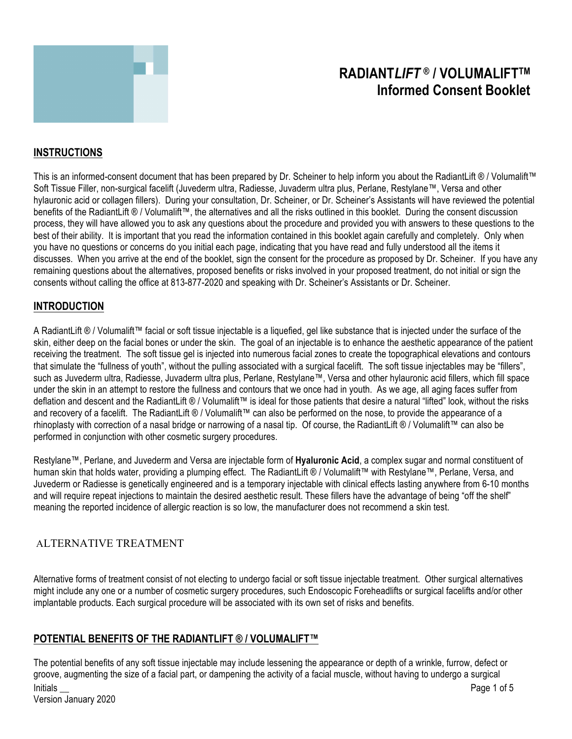

# **RADIANT***LIFT* **® / VOLUMALIFTTM Informed Consent Booklet**

# **INSTRUCTIONS**

This is an informed-consent document that has been prepared by Dr. Scheiner to help inform you about the RadiantLift ® / Volumalift™ Soft Tissue Filler, non-surgical facelift (Juvederm ultra, Radiesse, Juvaderm ultra plus, Perlane, Restylane™, Versa and other hylauronic acid or collagen fillers). During your consultation, Dr. Scheiner, or Dr. Scheiner's Assistants will have reviewed the potential benefits of the RadiantLift ® / Volumalift™, the alternatives and all the risks outlined in this booklet. During the consent discussion process, they will have allowed you to ask any questions about the procedure and provided you with answers to these questions to the best of their ability. It is important that you read the information contained in this booklet again carefully and completely. Only when you have no questions or concerns do you initial each page, indicating that you have read and fully understood all the items it discusses. When you arrive at the end of the booklet, sign the consent for the procedure as proposed by Dr. Scheiner. If you have any remaining questions about the alternatives, proposed benefits or risks involved in your proposed treatment, do not initial or sign the consents without calling the office at 813-877-2020 and speaking with Dr. Scheiner's Assistants or Dr. Scheiner.

#### **INTRODUCTION**

A RadiantLift ® / Volumalift™ facial or soft tissue injectable is a liquefied, gel like substance that is injected under the surface of the skin, either deep on the facial bones or under the skin. The goal of an injectable is to enhance the aesthetic appearance of the patient receiving the treatment. The soft tissue gel is injected into numerous facial zones to create the topographical elevations and contours that simulate the "fullness of youth", without the pulling associated with a surgical facelift. The soft tissue injectables may be "fillers", such as Juvederm ultra, Radiesse, Juvaderm ultra plus, Perlane, Restylane™, Versa and other hylauronic acid fillers, which fill space under the skin in an attempt to restore the fullness and contours that we once had in youth. As we age, all aging faces suffer from deflation and descent and the RadiantLift ® / Volumalift™ is ideal for those patients that desire a natural "lifted" look, without the risks and recovery of a facelift. The RadiantLift ® / Volumalift™ can also be performed on the nose, to provide the appearance of a rhinoplasty with correction of a nasal bridge or narrowing of a nasal tip. Of course, the RadiantLift ® / Volumalift™ can also be performed in conjunction with other cosmetic surgery procedures.

Restylane™, Perlane, and Juvederm and Versa are injectable form of **Hyaluronic Acid**, a complex sugar and normal constituent of human skin that holds water, providing a plumping effect. The RadiantLift ® / Volumalift™ with Restylane™, Perlane, Versa, and Juvederm or Radiesse is genetically engineered and is a temporary injectable with clinical effects lasting anywhere from 6-10 months and will require repeat injections to maintain the desired aesthetic result. These fillers have the advantage of being "off the shelf" meaning the reported incidence of allergic reaction is so low, the manufacturer does not recommend a skin test.

## ALTERNATIVE TREATMENT

Alternative forms of treatment consist of not electing to undergo facial or soft tissue injectable treatment. Other surgical alternatives might include any one or a number of cosmetic surgery procedures, such Endoscopic Foreheadlifts or surgical facelifts and/or other implantable products. Each surgical procedure will be associated with its own set of risks and benefits.

## **POTENTIAL BENEFITS OF THE RADIANTLIFT ® / VOLUMALIFT™**

Initials \_\_ Page 1 of 5 Version January 2020 The potential benefits of any soft tissue injectable may include lessening the appearance or depth of a wrinkle, furrow, defect or groove, augmenting the size of a facial part, or dampening the activity of a facial muscle, without having to undergo a surgical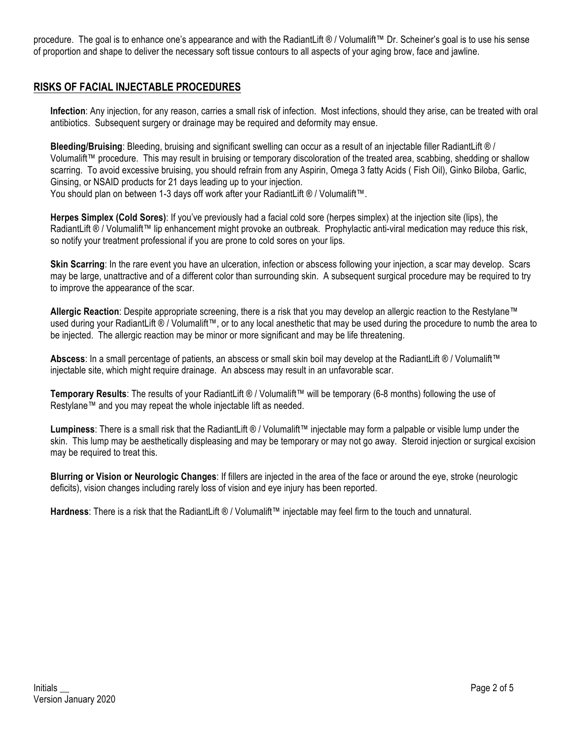procedure. The goal is to enhance one's appearance and with the RadiantLift ® / Volumalift™ Dr. Scheiner's goal is to use his sense of proportion and shape to deliver the necessary soft tissue contours to all aspects of your aging brow, face and jawline.

## **RISKS OF FACIAL INJECTABLE PROCEDURES**

**Infection**: Any injection, for any reason, carries a small risk of infection. Most infections, should they arise, can be treated with oral antibiotics. Subsequent surgery or drainage may be required and deformity may ensue.

**Bleeding/Bruising**: Bleeding, bruising and significant swelling can occur as a result of an injectable filler RadiantLift ® / Volumalift™ procedure. This may result in bruising or temporary discoloration of the treated area, scabbing, shedding or shallow scarring. To avoid excessive bruising, you should refrain from any Aspirin, Omega 3 fatty Acids ( Fish Oil), Ginko Biloba, Garlic, Ginsing, or NSAID products for 21 days leading up to your injection.

You should plan on between 1-3 days off work after your RadiantLift ® / Volumalift™.

**Herpes Simplex (Cold Sores)**: If you've previously had a facial cold sore (herpes simplex) at the injection site (lips), the RadiantLift ® / Volumalift™ lip enhancement might provoke an outbreak. Prophylactic anti-viral medication may reduce this risk, so notify your treatment professional if you are prone to cold sores on your lips.

**Skin Scarring**: In the rare event you have an ulceration, infection or abscess following your injection, a scar may develop. Scars may be large, unattractive and of a different color than surrounding skin. A subsequent surgical procedure may be required to try to improve the appearance of the scar.

**Allergic Reaction**: Despite appropriate screening, there is a risk that you may develop an allergic reaction to the Restylane™ used during your RadiantLift ® / Volumalift™, or to any local anesthetic that may be used during the procedure to numb the area to be injected. The allergic reaction may be minor or more significant and may be life threatening.

**Abscess**: In a small percentage of patients, an abscess or small skin boil may develop at the RadiantLift ® / Volumalift™ injectable site, which might require drainage. An abscess may result in an unfavorable scar.

**Temporary Results**: The results of your RadiantLift ® / Volumalift™ will be temporary (6-8 months) following the use of Restylane™ and you may repeat the whole injectable lift as needed.

**Lumpiness**: There is a small risk that the RadiantLift ® / Volumalift™ injectable may form a palpable or visible lump under the skin. This lump may be aesthetically displeasing and may be temporary or may not go away. Steroid injection or surgical excision may be required to treat this.

**Blurring or Vision or Neurologic Changes**: If fillers are injected in the area of the face or around the eye, stroke (neurologic deficits), vision changes including rarely loss of vision and eye injury has been reported.

**Hardness**: There is a risk that the RadiantLift ® / Volumalift™ injectable may feel firm to the touch and unnatural.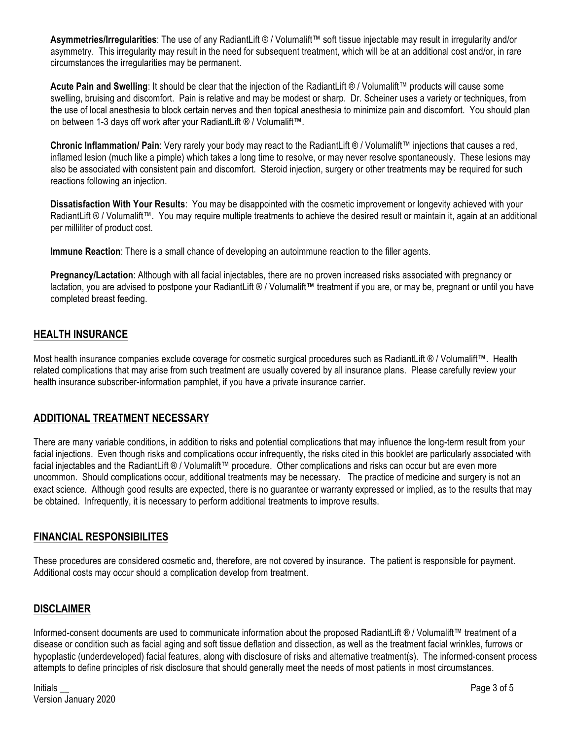**Asymmetries/Irregularities**: The use of any RadiantLift ® / Volumalift™ soft tissue injectable may result in irregularity and/or asymmetry. This irregularity may result in the need for subsequent treatment, which will be at an additional cost and/or, in rare circumstances the irregularities may be permanent.

**Acute Pain and Swelling**: It should be clear that the injection of the RadiantLift ® / Volumalift™ products will cause some swelling, bruising and discomfort. Pain is relative and may be modest or sharp. Dr. Scheiner uses a variety or techniques, from the use of local anesthesia to block certain nerves and then topical anesthesia to minimize pain and discomfort. You should plan on between 1-3 days off work after your RadiantLift ® / Volumalift™.

**Chronic Inflammation/ Pain**: Very rarely your body may react to the RadiantLift ® / Volumalift™ injections that causes a red, inflamed lesion (much like a pimple) which takes a long time to resolve, or may never resolve spontaneously. These lesions may also be associated with consistent pain and discomfort. Steroid injection, surgery or other treatments may be required for such reactions following an injection.

**Dissatisfaction With Your Results**: You may be disappointed with the cosmetic improvement or longevity achieved with your RadiantLift ® / Volumalift™. You may require multiple treatments to achieve the desired result or maintain it, again at an additional per milliliter of product cost.

**Immune Reaction**: There is a small chance of developing an autoimmune reaction to the filler agents.

**Pregnancy/Lactation**: Although with all facial injectables, there are no proven increased risks associated with pregnancy or lactation, you are advised to postpone your RadiantLift ® / Volumalift™ treatment if you are, or may be, pregnant or until you have completed breast feeding.

## **HEALTH INSURANCE**

Most health insurance companies exclude coverage for cosmetic surgical procedures such as RadiantLift ® / Volumalift™. Health related complications that may arise from such treatment are usually covered by all insurance plans. Please carefully review your health insurance subscriber-information pamphlet, if you have a private insurance carrier.

## **ADDITIONAL TREATMENT NECESSARY**

There are many variable conditions, in addition to risks and potential complications that may influence the long-term result from your facial injections. Even though risks and complications occur infrequently, the risks cited in this booklet are particularly associated with facial injectables and the RadiantLift ® / Volumalift™ procedure. Other complications and risks can occur but are even more uncommon. Should complications occur, additional treatments may be necessary. The practice of medicine and surgery is not an exact science. Although good results are expected, there is no guarantee or warranty expressed or implied, as to the results that may be obtained. Infrequently, it is necessary to perform additional treatments to improve results.

## **FINANCIAL RESPONSIBILITES**

These procedures are considered cosmetic and, therefore, are not covered by insurance. The patient is responsible for payment. Additional costs may occur should a complication develop from treatment.

## **DISCLAIMER**

Informed-consent documents are used to communicate information about the proposed RadiantLift ® / Volumalift™ treatment of a disease or condition such as facial aging and soft tissue deflation and dissection, as well as the treatment facial wrinkles, furrows or hypoplastic (underdeveloped) facial features, along with disclosure of risks and alternative treatment(s). The informed-consent process attempts to define principles of risk disclosure that should generally meet the needs of most patients in most circumstances.

Initials \_\_ Page 3 of 5 Version January 2020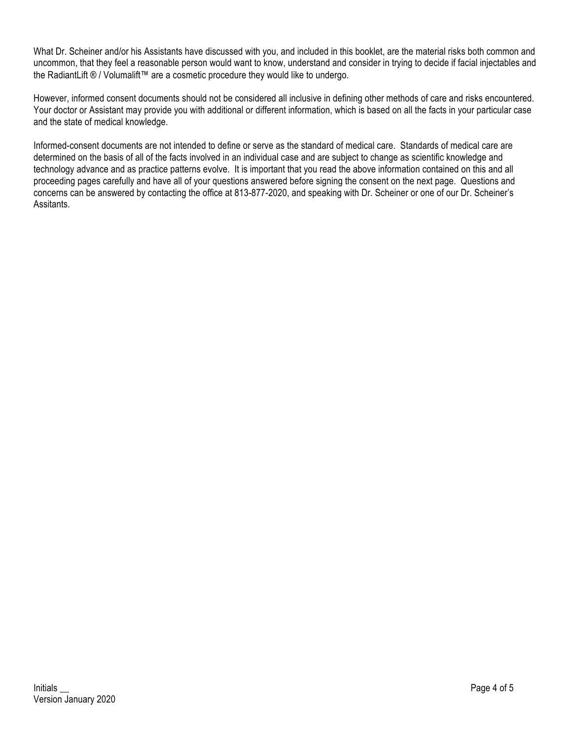What Dr. Scheiner and/or his Assistants have discussed with you, and included in this booklet, are the material risks both common and uncommon, that they feel a reasonable person would want to know, understand and consider in trying to decide if facial injectables and the RadiantLift ® / Volumalift™ are a cosmetic procedure they would like to undergo.

However, informed consent documents should not be considered all inclusive in defining other methods of care and risks encountered. Your doctor or Assistant may provide you with additional or different information, which is based on all the facts in your particular case and the state of medical knowledge.

Informed-consent documents are not intended to define or serve as the standard of medical care. Standards of medical care are determined on the basis of all of the facts involved in an individual case and are subject to change as scientific knowledge and technology advance and as practice patterns evolve. It is important that you read the above information contained on this and all proceeding pages carefully and have all of your questions answered before signing the consent on the next page. Questions and concerns can be answered by contacting the office at 813-877-2020, and speaking with Dr. Scheiner or one of our Dr. Scheiner's Assitants.